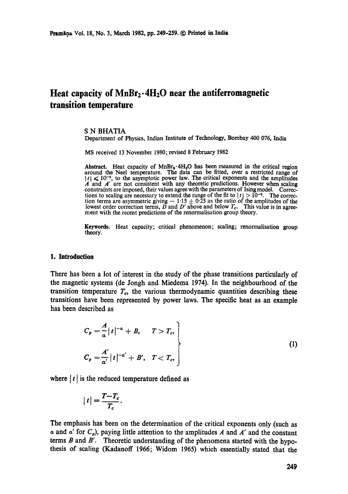# Heat capacity of MnBr<sub>2</sub>.4H<sub>2</sub>O near the antiferromagnetic **transition temperature**

#### **S N** BHATIA

Department of Physics, Indian Institute of Technology, Bombay 400 076, India

MS received 13 November 1980; revised 8 February 1982

Abstract. Heat capacity of  $MnBr_2 \cdot 4H_2O$  has been measured in the critical region around the Neel temperature. The data can be fitted, over a restricted range of  $|t| \leq 10^{-2}$ , to the asymptotic power law. The critical exponents and the amplitudes  $\vec{A}$  and  $\vec{A}'$  are not consistent with any theoretic predictions. However when scaling constraints are imposed, their values agree with the parameters of Ising model. Corrections to scaling are necessary to extend the range of the fit to  $|t| > 10^{-2}$ . The correction terms are asymmetric giving  $-1.15 \pm 0.25$  as the ratio of the amplitudes of the lowest order correction terms, *D* and *D'* above and below *T<sub>c</sub>*. This value is in agreement with the recent predictions of the renormalisation group theory.

**Keywords.** Heat capacity; critical phenomenon; scaling; renormalisation group theory.

#### **1. Introduction**

There has been a lot of interest in the study of the phase transitions particularly of the magnetic systems (de Jongh and Miedema 1974). In the neighbourhood of the transition temperature  $T_c$ , the various thermodynamic quantities describing these transitions have been represented by power laws. The specific heat as an example has been described as

$$
C_p = \frac{A}{a} |t|^{-\alpha} + B, \quad T > T_c,
$$
  

$$
C_p = \frac{A'}{a'} |t|^{-\alpha'} + B', \quad T < T_c,
$$
 (1)

where  $|t|$  is the reduced temperature defined as

$$
|t| = \frac{T - T_c}{T_c}.
$$

The emphasis has been on the determination of the critical exponents only (such as  $\alpha$  and  $\alpha'$  for  $C_p$ ), paying little attention to the amplitudes A and A' and the constant terms  $B$  and  $B'$ . Theoretic understanding of the phenomena started with the hypothesis of scaling (Kadanoff 1966; Widom 1965) which essentially stated that the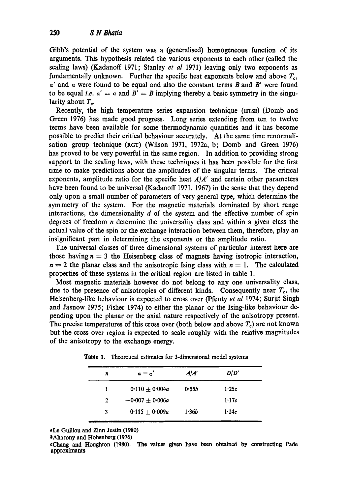Gibb's potential of the system was a (generalised) homogeneous function of its arguments. This hypothesis related the various exponents to each other (called the scaling laws) (Kadanoff 1971; Stanley *et al* 1971) leaving only two exponents as fundamentally unknown. Further the specific heat exponents below and above  $T_c$ ,  $\alpha'$  and  $\alpha$  were found to be equal and also the constant terms  $B$  and  $B'$  were found to be equal *i.e.*  $a' = a$  and  $B' = B$  implying thereby a basic symmetry in the singularity about  $T_c$ .

Recently, the high temperature series expansion technique (HTSS) (Domb and Green 1976) has made good progress. Long series extending from ten to twelve terms have been available for some thermodynamic quantities and it has becomc possible to predict their critical behaviour accurately. At the same time renormalisation group technique (RGT) (Wilson 1971, 1972a, b; Domb and Green 1976) has proved to be very powerful in the same region. In addition to providing strong support to the scaling laws, with these techniques it has been possible for the first time to make predictions about the amplitudes of the singular terms. The critical exponents, amplitude ratio for the specific heat  $A/A'$  and certain other parameters have been found to be universal (Kadanoff 1971, 1967) in the sense that they depend only upon a small number of parameters of very general type, which determine the symmetry of the system. For the magnetic materials dominated by short range interactions, the dimensionality  $d$  of the system and the effective number of spin degrees of freedom *n* determine the universality class and within a given class the actual value of the spin or the exchange interaction between them, therefore, play an insignificant part in determining the exponents or the amplitude ratio.

The universal classes of three dimensional systems of particular interest here are those having  $n = 3$  the Heisenberg class of magnets having isotropic interaction,  $n = 2$  the planar class and the anisotropic Ising class with  $n = 1$ . The calculated properties of these systems in the critical region are listed in table 1.

Most magnetic materials however do not belong to any one universality class, due to the presence of anisotropies of different kinds. Consequently near  $T_c$ , the Heisenberg-like behaviour is expected to cross over (Pfeuty *et al* 1974; Surjit Singh and Jasnow 1975; Fisher 1974) to either the planar or the Ising-like behaviour depending upon the planar or the axial nature respectively of the anisotropy present. The precise temperatures of this cross over (both below and above  $T_c$ ) are not known but the cross over region is expected to scale roughly with the relative magnitudes of the anisotropy to the exchange energy.

| n | $a = a'$            | A/A'              | D/D'  |  |
|---|---------------------|-------------------|-------|--|
| ı | $0.110 + 0.004a$    | 0.55b             | 1.25c |  |
| 2 | $-0.007 + 0.006a$   |                   | 1.17c |  |
| 3 | $-0.115 \pm 0.009a$ | 1.36 <sub>b</sub> | 1.14c |  |

**Table** 1. Theoretical estimates for 3-dimensional model systems

aLe Guillou and Zinn Justin (1980)

\*Chang and Houghton (1980). The values given have been obtained by constructing Pade approximants

<sup>•</sup> Aharony and Hohenberg (1976)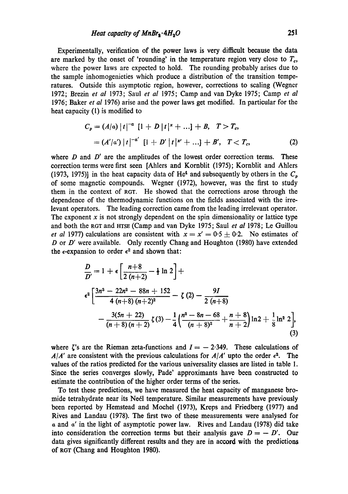Experimentally, verification of the power laws is very difficult because the data are marked by the onset of 'rounding' in the temperature region very close to  $T_c$ , where the power laws are expected to hold. The rounding probably arises due to the sample inhomogenieties which produce a distribution of the transition temperatures. Outside this asymptotic region, however, corrections to scaling (Wegner 1972; Brezin *et al* 1973; Saul *et al* 1975; Camp and van Dyke 1975; Camp *et al*  1976; Baker *et al* 1976) arise and the power laws get modified. In particular for the heat capacity (1) is modified to

$$
C_p = (A/a) |t|^{-a} [1 + D |t|^x + ...] + B, \quad T > T_c,
$$
  
=  $(A'|a') |t|^{-a'} [1 + D' |t|^x' + ...] + B', \quad T < T_c,$  (2)

where  $D$  and  $D'$  are the amplitudes of the lowest order correction terms. These correction terms were first seen [Ahlers and Kornblit (1975); Kornblit and Ahlers (1973, 1975)] in the heat capacity data of He<sup>4</sup> and subsequently by others in the  $C_p$ of some magnetic compounds. Wegner (1972), however, was the first to study them in the context of RGT. He showed that the corrections arose through the dependence of the thermodynamic functions on the fields associated with the irrelevant operators. The leading correction came from the leading irrelevant operator. The exponent  $x$  is not strongly dependent on the spin dimensionality or lattice type and both the RGT and HTSE (Camp and van Dyke 1975; Saul *et al* 1978; Le Guillou *et al* 1977) calculations are consistent with  $x = x' = 0.5 + 0.2$ . No estimates of D or D' were available. Only recently Chang and Houghton (1980) have extended the  $\epsilon$ -expansion to order  $\epsilon^2$  and shown that:

$$
\frac{D}{D'} = 1 + \epsilon \left[ \frac{n+8}{2(n+2)} - \frac{1}{2} \ln 2 \right] + \epsilon^2 \left[ \frac{3n^3 - 22n^2 - 88n + 152}{4(n+8)(n+2)^2} - \zeta(2) - \frac{9I}{2(n+8)} - \frac{3(5n+22)}{(n+8)(n+2)} \zeta(3) - \frac{1}{4} \left( \frac{n^2 - 8n - 68}{(n+8)^2} + \frac{n+8}{n+2} \right) \ln 2 + \frac{1}{8} \ln^2 2 \right],
$$
\n(3)

where  $\zeta$ 's are the Rieman zeta-functions and  $I = -2.349$ . These calculations of  $A/A'$  are consistent with the previous calculations for  $A/A'$  upto the order  $\epsilon^2$ . The values of the ratios predicted for the various universality classes are listed in table I. Since the series converges slowly, Pade' approximants have been constructed to estimate the contribution of the higher order terms of the series.

To test these predictions, we have measured the heat capacity of manganese bromide tetrahydrate near its Ne6l temperature. Similar measurements have previously been reported by Hemstead and Moehel (1973), Kreps and Friedberg (1977) and Rives and Landau (1978). The first two of these measurements were analysed for a and a' in the light of asymptotic power law. Rives and Landau (1978) did take into consideration the correction terms but their analysis gave  $D = -D'$ . Our data gives significantly different results and they are in accord with the predictions of RGT (Chang and Houghton 1980).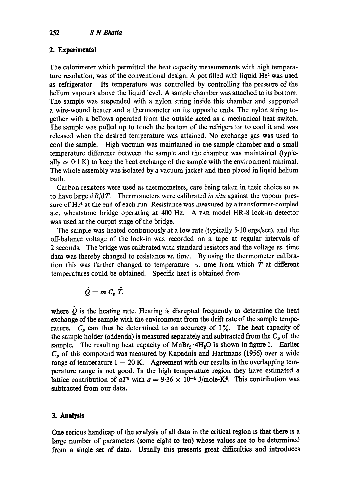# 2. Experimental

The calorimeter which permitted the heat capacity measurements with high temperature resolution, was of the conventional design. A pot filled with liquid  $He<sup>4</sup>$  was used as refrigerator. Its temperature was controlled by controlling the pressure of the helium vapours above the liquid level. A sample chamber was attached to its bottom. The sample was suspended with a nylon string inside this chamber and supported a wire-wound heater and a thermometer on its opposite ends. The nylon string together with a bellows operated from the outside acted as a mechanical heat switch. The sample was pulled up to touch the bottom of the refrigerator to cool it and was released when the desired temperature was attained. No exchange gas was used to cool the sample. High vacuum was maintained in the sample chamber and a small temperature difference between the sample and the chamber was maintained (typically  $\simeq$  0.1 K) to keep the heat exchange of the sample with the environment minimal. The whole assembly was isolated by a vacuum jacket and then placed in liquid helium bath.

Carbon resistors were used as thermometers, care being taken in their choice so as to have large *dR/dT.* Thermometers were calibrated *in situ* against the vapour pressure of  $He<sup>4</sup>$  at the end of each run. Resistance was measured by a transformer-coupled a.c. wheatstone bridge operating at 400 Hz. A eAR model HR-8 lock-in detector was used at the output stage of the bridge.

The sample was heated continuously at a low rate (typically 5-10 ergs/sec), and the off-balance voltage of the lock-in was recorded on a tape at regular intervals of 2 seconds. The bridge was calibrated with standard resistors and the voltage *vs.* time data was thereby changed to resistance vs. time. By using the thermometer calibration this was further changed to temperature  $v_s$ . time from which  $\dot{T}$  at different temperatures could be obtained. Specific heat is obtained from

$$
\dot{Q}=m\;C_p\;\dot{T},
$$

where  $Q$  is the heating rate. Heating is disrupted frequently to determine the heat exchange of the sample with the environment from the drift rate of the sample temperature.  $C_p$  can thus be determined to an accuracy of 1%. The heat capacity of the sample holder (addenda) is measured separately and subtracted from the  $C_p$  of the sample. The resulting heat capacity of  $MnBr_2 \cdot 4H_2O$  is shown in figure 1. Earlier  $C_p$  of this compound was measured by Kapadnis and Hartmans (1956) over a wide range of temperature  $1 - 20$  K. Agreement with our results in the overlapping temperature range is not good. In the high temperature region they have estimated a lattice contribution of  $aT^3$  with  $a = 9.36 \times 10^{-4}$  J/mole-K<sup>4</sup>. This contribution was subtracted from our data.

# **3. Analysis**

**One serious handicap of the analysis of all data in the critical region is that there is a large number of parameters (some eight to ten) whose values are to be determined**  from a single set of data. Usually this presents great difficulties and introduces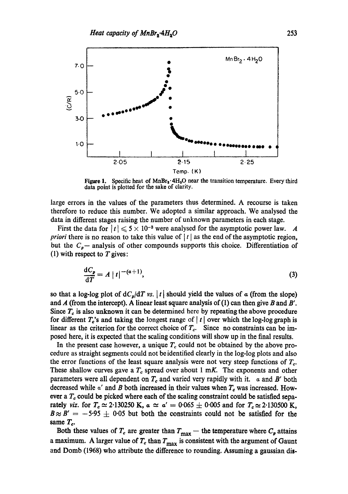

Figure 1. Specific heat of  $MnBr_2 \cdot 4H_3O$  near the transition temperature. Every third data point is plotted for the sake of clarity.

large errors in the values of the parameters thus determined. A recourse is taken therefore to reduce this number. We adopted a similar approach. We analysed the data in different stages raising the number of unknown parameters in each stage.

First the data for  $|t| \leq 5 \times 10^{-3}$  were analysed for the asymptotic power law. A *priori* there is no reason to take this value of  $|t|$  as the end of the asymptotic region, but the C~-- analysis of other compounds supports this choice. Differentiation of (1) with respect to  $T$  gives:

$$
\frac{\mathrm{d}C_p}{\mathrm{d}T} = A \mid t \mid \frac{-(a+1)}{2},\tag{3}
$$

so that a log-log plot of  $dC_p/dT$  vs. |t| should yield the values of a (from the slope) and A (from the intercept). A linear least square analysis of (1) can then give B and B'. Since  $T_c$  is also unknown it can be determined here by repeating the above procedure for different  $T_c$ 's and taking the longest range of  $|t|$  over which the log-log graph is linear as the criterion for the correct choice of  $T_c$ . Since no constraints can be imposed here, it is expected that the scaling conditions will show up in the final results.

In the present case however, a unique  $T_c$  could not be obtained by the above procedure as straight segments could not be identified clearly in the log-log plots and also the error functions of the least square analysis were not very steep functions of  $T_c$ . These shallow curves gave a  $T_c$  spread over about 1 mK. The exponents and other parameters were all dependent on  $T_c$  and varied very rapidly with it.  $\alpha$  and B' both decreased while  $\alpha'$  and B both increased in their values when  $T_c$  was increased. However a  $T_c$  could be picked where each of the scaling constraint could be satisfied separately *viz.* for  $T_c \simeq 2.130250$  K,  $\alpha \simeq \alpha' = 0.065 \pm 0.005$  and for  $T_c \simeq 2.130500$  K,  $B \approx B' = -5.95 \pm 0.05$  but both the constraints could not be satisfied for the same  $T_c$ .

Both these values of  $T_c$  are greater than  $T_{\text{max}}$  -- the temperature where  $C_p$  attains a maximum. A larger value of  $T_c$  than  $T_{\text{max}}$  is consistent with the argument of Gaunt and Domb (1968) who attribute the difference to rounding. Assuming a gaussian **dis-**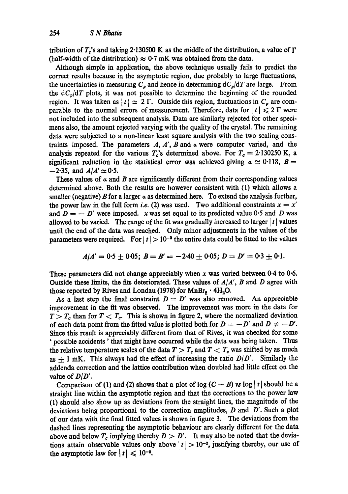tribution of T<sub>c</sub>'s and taking 2.130500 K as the middle of the distribution, a value of  $\Gamma$ (half-width of the distribution)  $\approx 0.7$  mK was obtained from the data.

Although simple in application, the above technique usually fails to predict the correct results because in the asymptotic region, due probably to large fluctuations, the uncertainties in measuring  $C_p$  and hence in determining  $dC_p/dT$  are large. From the  $dC_p/dT$  plots, it was not possible to determine the beginning of the rounded region. It was taken as  $|t| \approx 2 \Gamma$ . Outside this region, fluctuations in  $C_p$  are comparable to the normal errors of measurement. Therefore, data for  $|t| \leq 2 \Gamma$  were not included into the subsequent analysis. Data are similarly rejected for other specimens also, the amount rejected varying with the quality of the crystal. The remaining data were subjected to a non-linear least square analysis with the two scaling constraints imposed. The parameters  $A$ ,  $A'$ ,  $B$  and  $\alpha$  were computer varied, and the analysis repeated for the various  $T_c$ 's determined above. For  $T_c = 2.130250$  K, a significant reduction in the statistical error was achieved giving  $\alpha \simeq 0.118$ ,  $B =$  $-2.35$ , and  $A/A' \approx 0.5$ .

These values of  $\alpha$  and  $\beta$  are significantly different from their corresponding values determined above. Both the results are however consistent with (1) which allows a smaller (negative) B for a larger  $\alpha$  as determined here. To extend the analysis further, the power law in the full form *i.e.* (2) was used. Two additional constraints  $x = x'$ and  $D = -D'$  were imposed. x was set equal to its predicted value 0.5 and D was allowed to be varied. The range of the fit was gradually increased to larger  $|t|$  values until the end of the data was reached. Only minor adjustments in the values of the parameters were required. For  $|t| > 10^{-3}$  the entire data could be fitted to the values

$$
A/A' = 0.5 \pm 0.05; B = B' = -2.40 \pm 0.05; D = D' = 0.3 \pm 0.1.
$$

These parameters did not change appreciably when x was varied between  $0.4$  to  $0.6$ . Outside these limits, the fits deteriorated. These values of *A/A', B* and D agree with those reported by Rives and Londau (1978) for  $MnBr_2 \cdot 4H_2O$ .

As a last step the final constraint  $D = D'$  was also removed. An appreciable improvement in the fit was observed. The improvement was more in the data for  $T > T_c$  than for  $T < T_c$ . This is shown in figure 2, where the normalized deviation of each data point from the fitted value is plotted both for  $D = -D'$  and  $D \neq -D'$ . Since this result is appreciably different from that of Rives, it was checked for some ' possible accidents' that might have occurred while the data was being taken. Thus the relative temperature scales of the data  $T > T_c$  and  $T < T_c$  was shifted by as much as  $\pm$  1 mK. This always had the effect of increasing the ratio  $D/D'$ . Similarly the addenda correction and the lattice contribution when doubled had little effect on the value of *DID'.* 

Comparison of (1) and (2) shows that a plot of  $log (C - B)$  vs  $log |t|$  should be a straight line within the asymptotic region and that the corrections to the power law (1) should also show up as deviations from the straight lines, the magnitude of the deviations being proportional to the correction amplitudes,  $D$  and  $D'$ . Such a plot of our data with the final fitted values is shown in figure 3. The deviations from the dashed lines representing the asymptotic behaviour are clearly different for the data above and below  $T_c$  implying thereby  $D > D'$ . It may also be noted that the deviations attain observable values only above  $|t| > 10^{-2}$ , justifying thereby, our use of the asymptotic law for  $|t| \leq 10^{-2}$ .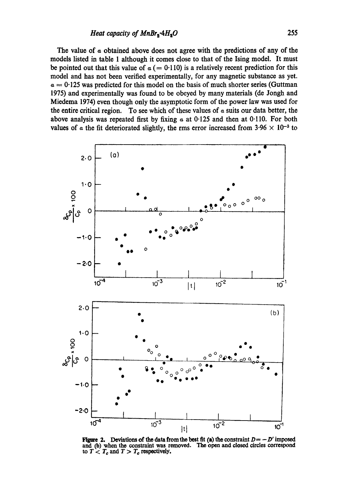The value of a obtained above does not agree with the predictions of any of the models listed in table 1 although it comes close to that of the Ising model. It must be pointed out that this value of  $\alpha$  (= 0.110) is a relatively recent prediction for this model and has not been verified experimentally, for any magnetic substance as yet.  $a = 0.125$  was predicted for this model on the basis of much shorter series (Guttman 1975) and experimentally was found to be obeyed by many materials (de Jongh and Miedema 1974) even though only the asymptotic form of the power law was used for the entire critical region. To see which of these values of  $\alpha$  suits our data better, the above analysis was repeated first by fixing  $\alpha$  at 0.125 and then at 0.110. For both values of a the fit deteriorated slightly, the rms error increased from  $3.96 \times 10^{-3}$  to



**Figure 2.** Deviations of the data from the best fit (a) the constraint  $D = -D'$  imposed and (b) when the constraint was removed. The open and closed circles correspond  $\tau$  *to T*  $\lt$  *T<sub>c</sub>* and *T*  $>$  *T<sub>c</sub>* respectively,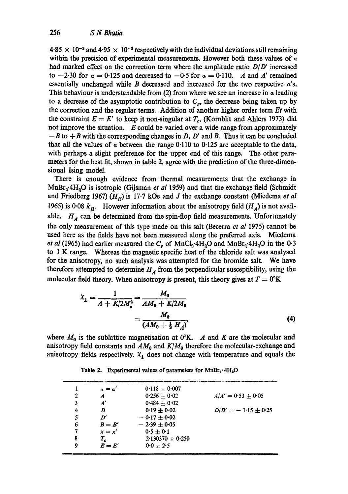$4.85 \times 10^{-8}$  and  $4.95 \times 10^{-8}$  respectively with the individual deviations still remaining within the precision of experimental measurements. However both these values of  $\alpha$ had marked effect on the correction term where the amplitude ratio *D/D'* increased to  $-2.30$  for  $\alpha = 0.125$  and decreased to  $-0.5$  for  $\alpha = 0.110$ . A and A' remained essentially unchanged while B decreased and increased for the two respective  $a$ 's. This behaviour is understandable from  $(2)$  from where we see an increase in  $\alpha$  leading to a decrease of the asymptotic contribution to  $C_p$ , the decrease being taken up by the correction and the regular terms. Addition of another higher order term *Et* with the constraint  $E = E'$  to keep it non-singular at  $T_c$ , (Kornblit and Ahlers 1973) did not improve the situation.  $E$  could be varied over a wide range from approximately  $-B$  to  $+B$  with the corresponding changes in D, D' and B. Thus it can be concluded that all the values of  $\alpha$  between the range 0.110 to 0.125 are acceptable to the data, with perhaps a slight preference for the upper end of this range. The other parameters for the best fit, shown in table 2, agree with the prediction of the three-dimensional Ising model.

There is enough evidence from thermal measurements that the exchange in MnBr<sub>2</sub><sup>.</sup>4H<sub>2</sub>O is isotropic (Gijsman *et al* 1959) and that the exchange field (Schmidt and Friedberg 1967)  $(H_F)$  is 17.7 kOe and J the exchange constant (Miedema *et al* 1965) is 0.08  $k_B$ . However information about the anisotropy field  $(H_A)$  is not available.  $H_A$  can be determined from the spin-flop field measurements. Unfortunately the only measurement of this type made on this salt (Becerra *et al* 1975) cannot be used here as the fields have not been measured along the preferred axis. Miedema *et al* (1965) had earlier measured the  $C_p$  of MnCl<sub>2</sub>.4H<sub>2</sub>O and MnBr<sub>2</sub>.4H<sub>2</sub>O in the 0.3 to 1 K range. Whereas the magnetic specific heat of the chloride salt was analysed for the anisotropy, no such analysis was attempted for the bromide salt. We have therefore attempted to determine  $H_A$  from the perpendicular susceptibility, using the molecular field theory. When anisotropy is present, this theory gives at  $T = 0^{\circ}$ K

$$
X_{\perp} = \frac{1}{A + K/2M_o^2} = \frac{M_0}{AM_0 + K/2M_0} = \frac{M_0}{(AM_0 + \frac{1}{2}H_A)},
$$
\n(4)

where  $M_0$  is the sublattice magnetisation at 0°K. A and K are the molecular and anisotropy field constants and  $AM_0$  and  $K/M_0$  therefore the molecular-exchange and anisotropy fields respectively.  $X_i$  does not change with temperature and equals the

Table 2. Experimental values of parameters for  $MnBr_s \cdot 4H_2O$ 

|   | $a = a'$ | $0.118 + 0.007$    |                       |
|---|----------|--------------------|-----------------------|
| 2 | A        | $0.256 + 0.02$     | $A/A' = 0.53 + 0.05$  |
| 3 | A'       | $0.484 + 0.02$     |                       |
| 4 | D        | $0.19 + 0.02$      | $D/D' = -1.15 + 0.25$ |
| 5 | D'       | $-0.17 + 0.02$     |                       |
| 6 | $B = B'$ | $-2.39 \pm 0.05$   |                       |
| 7 | $x = x'$ | $0.5 + 0.1$        |                       |
| 8 | $T_c$    | $2.130370 + 0.250$ |                       |
| 9 | $E = E'$ | $0.0 + 2.5$        |                       |
|   |          |                    |                       |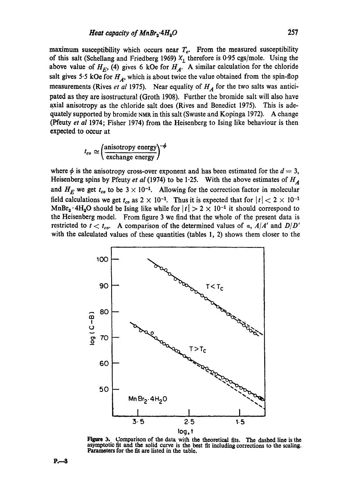maximum susceptibility which occurs near  $T_c$ . From the measured susceptibility of this salt (Schellang and Friedberg 1969)  $X_1$  therefore is 0.95 cgs/mole. Using the above value of  $H_E$ , (4) gives 6 kOe for  $H_A$ . A similar calculation for the chloride salt gives 5.5 kOe for  $H_A$ , which is about twice the value obtained from the spin-flop measurements (Rives *et al* 1975). Near equality of  $H_A$  for the two salts was anticipated as they are isostructural (Groth 1908). Further the bromide salt will also have axial anisotropy as the chloride salt does (Rives and Benedict 1975). This is adequately supported by bromide NMg in this salt (Swuste and Kopinga 1972). A change (Pfeuty *et al* 1974; Fisher 1974) from the Heisenberg to Ising like behaviour is then expected to occur at

$$
t_{co} \simeq \left(\frac{\text{anisotropy energy}}{\text{exchange energy}}\right)^{-\phi}
$$

where  $\phi$  is the anisotropy cross-over exponent and has been estimated for the  $d = 3$ , Heisenberg spins by Pfeuty *et al* (1974) to be 1.25. With the above estimates of  $H_A$ and  $H_E$  we get  $t_{co}$  to be  $3 \times 10^{-1}$ . Allowing for the correction factor in molecular field calculations we get  $t_{co}$  as  $2 \times 10^{-1}$ . Thus it is expected that for  $|t| < 2 \times 10^{-1}$ MnBr<sub>2</sub>  $\cdot$  4H<sub>2</sub>O should be Ising like while for  $|t| > 2 \times 10^{-1}$  it should correspond to the Heisenberg model. From figure 3 we find that the whole of the present data is restricted to  $t < t_{co}$ . A comparison of the determined values of a,  $A/A'$  and  $D/D'$ with the calculated values of these quantities (tables 1, 2) shows them closer to the



**Figure** 3. Comparison **of the** data with the theoretical fits. The dashed line is **the**  asymptotic fit and the solid curve is the best fit including corrections to the scaling. Parameters for the fit are listed in the table.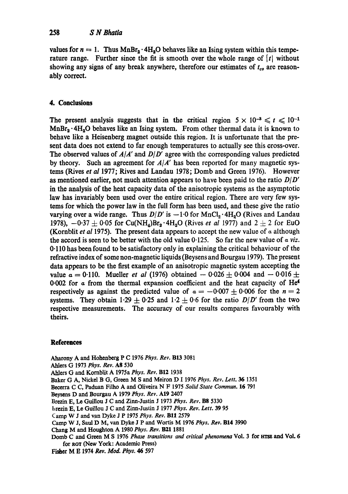values for  $n = 1$ . Thus MnBr<sub>2</sub> · 4H<sub>2</sub>O behaves like an Ising system within this temperature range. Further since the fit is smooth over the whole range of  $\lceil t \rceil$  without showing any signs of any break anywhere, therefore our estimates of  $t_{co}$  are reasonably correct.

## **4. Conclusions**

The present analysis suggests that in the critical region  $5 \times 10^{-8} \le t \le 10^{-1}$  $MnBr_2 \cdot 4H_2O$  behaves like an Ising system. From other thermal data it is known to behave like a Heisenberg magnet outside this region. It is unfortunate that the present data does not extend to far enough temperatures to actually see this cross-over. The observed values of  $A/A'$  and  $D/D'$  agree with the corresponding values predicted by theory. Such an agreement for *A/A'* has been reported for many magnetic systems (Rives *et al* 1977; Rives and Landau 1978; Domb and Green 1976). However as mentioned earlier, not much attention appears to have been paid to the ratio  $D/D'$ in the analysis of the heat capacity data of the anisotropie systems as the asymptotic law has invariably been used over the entire critical region. There are very few systems for which the power law in the full form has been used, and these give the ratio varying over a wide range. Thus  $D/D'$  is  $-1.0$  for MnCl<sub>2</sub> · 4H<sub>2</sub>O (Rives and Landau 1978),  $-0.37 \pm 0.05$  for Cu(NH<sub>4</sub>)Br<sub>2</sub>  $\cdot$  4H<sub>2</sub>O (Rives *et al* 1977) and 2  $\pm$  2 for EuO (Kornblit *et al* 1975). The present data appears to accept the new value of  $\alpha$  although the accord is seen to be better with the old value  $0.125$ . So far the new value of  $\alpha$  viz. 0.110 has been found to be satisfactory only in explaining the critical behaviour of the refractive index of some non-magnetic liquids (Beysens and Bourgau 1979). The present data appears to be the first example of an anisotropic magnetic system accepting the value  $\alpha = 0.110$ . Mueller *et al* (1976) obtained  $-0.026 \pm 0.004$  and  $-0.016 \pm 0.004$ 0.002 for  $\alpha$  from the thermal expansion coefficient and the heat capacity of He<sup>4</sup> respectively as against the predicted value of  $\alpha = -0.007 \pm 0.006$  for the  $n=2$ systems. They obtain 1.29  $\pm$  0.25 and 1.2  $\pm$  0.6 for the ratio *D|D'* from the two respective measurements. The accuracy of our results compares favourably with theirs.

### **References**

Aharony A and Hohenberg P C 1976 *Phys. Roy.* BI3 3081 Ahlers G 1973 *Phys. Roy.* A8 530 Ahlers G and Kornblit A 1975a *Phys. Roy.* BI2 1938 Baker G A, Nickel B G, Green M S and Meiron D 1 1976 *Phys. Roy. Lett. 36* 1351 Beeerra C C, Paduan Filho A and Oliveira N F 1975 *Solid State Commun.* 16 791 Beysens D and Bourgau A 1979 *Phys. Roy.* A19 2407 Brezin E, Le Guillou J C and Zirm-Justin J 1973 *Phys. Roy.* B8 5330 hrezin E, Le Guillou J C and Zinn-Justin J 1977 *Phys. Roy. Lett.* 39 95 Camp W J and van Dyke J P 1975 Phys. Rev. B11 2579 Camp W J, Saul D M, van Dyke J P and Wortis M 1976 *Phys. Roy.* B14 3990 Chang M and Houghton A 1980 Phys. Rev. B21 1881 Domb C and Green M S 1976 *Phase transitions and critical phenomena* Vol. 3 for trrse and Vol. 6 for ROT (New York: Academic Press) Fisher M E 1974 *Roy. Mod. Phys. 46* 597